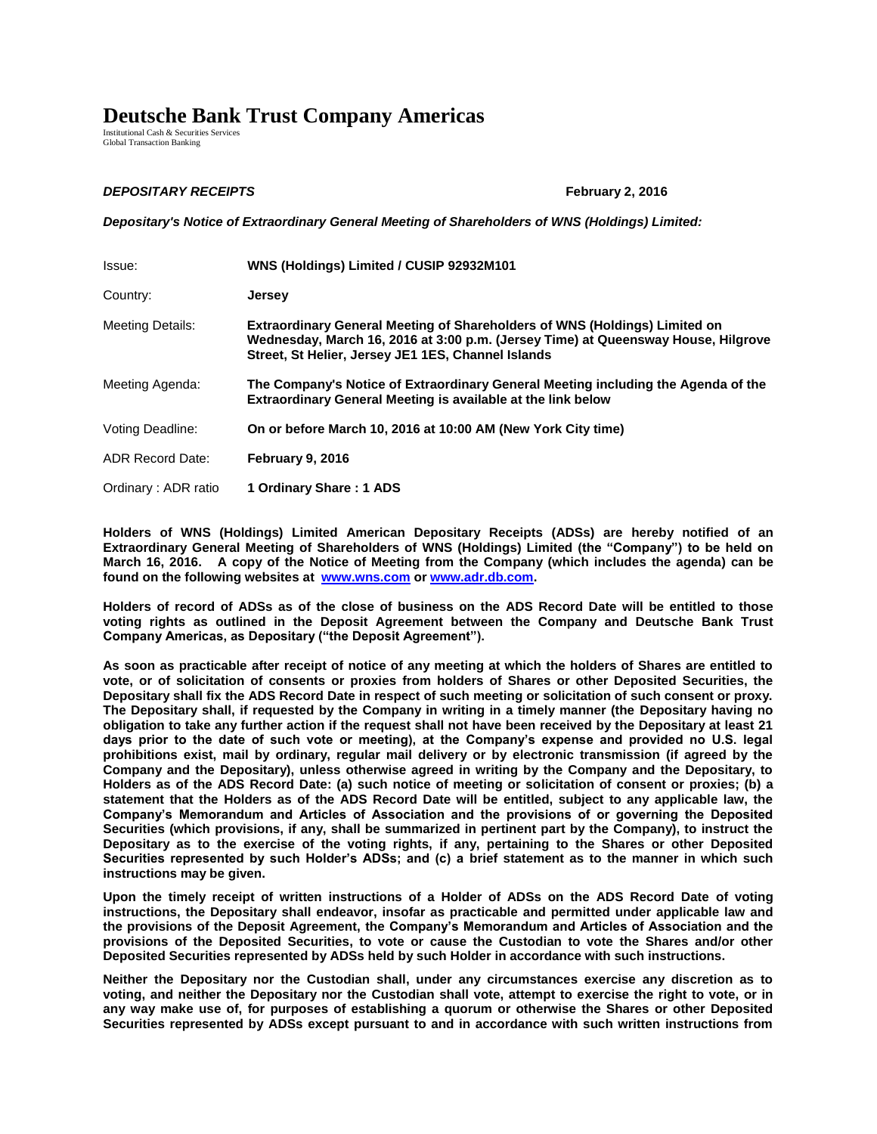## **Deutsche Bank Trust Company Americas**

Institutional Cash & Securities Services Global Transaction Banking

## *DEPOSITARY RECEIPTS* **February 2, 2016**

*Depositary's Notice of Extraordinary General Meeting of Shareholders of WNS (Holdings) Limited:*

| Issue:                  | WNS (Holdings) Limited / CUSIP 92932M101                                                                                                                                                                                     |
|-------------------------|------------------------------------------------------------------------------------------------------------------------------------------------------------------------------------------------------------------------------|
| Country:                | <b>Jersey</b>                                                                                                                                                                                                                |
| <b>Meeting Details:</b> | <b>Extraordinary General Meeting of Shareholders of WNS (Holdings) Limited on</b><br>Wednesday, March 16, 2016 at 3:00 p.m. (Jersey Time) at Queensway House, Hilgrove<br>Street, St Helier, Jersey JE1 1ES, Channel Islands |
| Meeting Agenda:         | The Company's Notice of Extraordinary General Meeting including the Agenda of the<br><b>Extraordinary General Meeting is available at the link below</b>                                                                     |
| Voting Deadline:        | On or before March 10, 2016 at 10:00 AM (New York City time)                                                                                                                                                                 |
| <b>ADR Record Date:</b> | February 9, 2016                                                                                                                                                                                                             |
| Ordinary: ADR ratio     | 1 Ordinary Share: 1 ADS                                                                                                                                                                                                      |

**Holders of WNS (Holdings) Limited American Depositary Receipts (ADSs) are hereby notified of an Extraordinary General Meeting of Shareholders of WNS (Holdings) Limited (the "Company") to be held on March 16, 2016. A copy of the Notice of Meeting from the Company (which includes the agenda) can be found on the following websites at [www.wns.com](http://www.wnsgs.com/) o[r www.adr.db.com.](http://www.adr.db.com/)** 

**Holders of record of ADSs as of the close of business on the ADS Record Date will be entitled to those voting rights as outlined in the Deposit Agreement between the Company and Deutsche Bank Trust Company Americas, as Depositary ("the Deposit Agreement").** 

**As soon as practicable after receipt of notice of any meeting at which the holders of Shares are entitled to vote, or of solicitation of consents or proxies from holders of Shares or other Deposited Securities, the Depositary shall fix the ADS Record Date in respect of such meeting or solicitation of such consent or proxy. The Depositary shall, if requested by the Company in writing in a timely manner (the Depositary having no obligation to take any further action if the request shall not have been received by the Depositary at least 21 days prior to the date of such vote or meeting), at the Company's expense and provided no U.S. legal prohibitions exist, mail by ordinary, regular mail delivery or by electronic transmission (if agreed by the Company and the Depositary), unless otherwise agreed in writing by the Company and the Depositary, to Holders as of the ADS Record Date: (a) such notice of meeting or solicitation of consent or proxies; (b) a statement that the Holders as of the ADS Record Date will be entitled, subject to any applicable law, the Company's Memorandum and Articles of Association and the provisions of or governing the Deposited Securities (which provisions, if any, shall be summarized in pertinent part by the Company), to instruct the Depositary as to the exercise of the voting rights, if any, pertaining to the Shares or other Deposited Securities represented by such Holder's ADSs; and (c) a brief statement as to the manner in which such instructions may be given.** 

**Upon the timely receipt of written instructions of a Holder of ADSs on the ADS Record Date of voting instructions, the Depositary shall endeavor, insofar as practicable and permitted under applicable law and the provisions of the Deposit Agreement, the Company's Memorandum and Articles of Association and the provisions of the Deposited Securities, to vote or cause the Custodian to vote the Shares and/or other Deposited Securities represented by ADSs held by such Holder in accordance with such instructions.**

**Neither the Depositary nor the Custodian shall, under any circumstances exercise any discretion as to voting, and neither the Depositary nor the Custodian shall vote, attempt to exercise the right to vote, or in any way make use of, for purposes of establishing a quorum or otherwise the Shares or other Deposited Securities represented by ADSs except pursuant to and in accordance with such written instructions from**